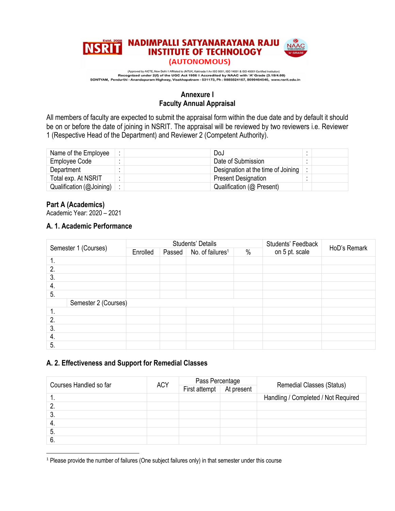

### **Annexure I Faculty Annual Appraisal**

All members of faculty are expected to submit the appraisal form within the due date and by default it should be on or before the date of joining in NSRIT. The appraisal will be reviewed by two reviewers i.e. Reviewer 1 (Respective Head of the Department) and Reviewer 2 (Competent Authority).

| Name of the Employee              | DoJ                                |  |
|-----------------------------------|------------------------------------|--|
| Employee Code                     | Date of Submission                 |  |
| Department                        | Designation at the time of Joining |  |
| Total exp. At NSRIT               | <b>Present Designation</b>         |  |
| Qualification ( $@$ Joining) $ :$ | Qualification (@ Present)          |  |

#### **Part A (Academics)**

Academic Year: 2020 – 2021

### **A. 1. Academic Performance**

| Semester 1 (Courses) |                      |          |                                                         | Students' Details | Students' Feedback | HoD's Remark |  |
|----------------------|----------------------|----------|---------------------------------------------------------|-------------------|--------------------|--------------|--|
|                      |                      | Enrolled | No. of failures <sup>1</sup><br>$\frac{0}{0}$<br>Passed |                   | on 5 pt. scale     |              |  |
| 1.                   |                      |          |                                                         |                   |                    |              |  |
| 2.                   |                      |          |                                                         |                   |                    |              |  |
| $\overline{3}$ .     |                      |          |                                                         |                   |                    |              |  |
| 4.                   |                      |          |                                                         |                   |                    |              |  |
| 5.                   |                      |          |                                                         |                   |                    |              |  |
|                      | Semester 2 (Courses) |          |                                                         |                   |                    |              |  |
| 1.                   |                      |          |                                                         |                   |                    |              |  |
| 2.                   |                      |          |                                                         |                   |                    |              |  |
| 3.                   |                      |          |                                                         |                   |                    |              |  |
| 4.                   |                      |          |                                                         |                   |                    |              |  |
| 5.                   |                      |          |                                                         |                   |                    |              |  |

### **A. 2. Effectiveness and Support for Remedial Classes**

| Courses Handled so far | <b>ACY</b> | Pass Percentage          |                                     |  |  |
|------------------------|------------|--------------------------|-------------------------------------|--|--|
|                        |            | First attempt At present | <b>Remedial Classes (Status)</b>    |  |  |
| . .                    |            |                          | Handling / Completed / Not Required |  |  |
|                        |            |                          |                                     |  |  |
| . ა.                   |            |                          |                                     |  |  |
| 4.                     |            |                          |                                     |  |  |
| 5.                     |            |                          |                                     |  |  |
|                        |            |                          |                                     |  |  |

<sup>&</sup>lt;sup>1</sup> Please provide the number of failures (One subject failures only) in that semester under this course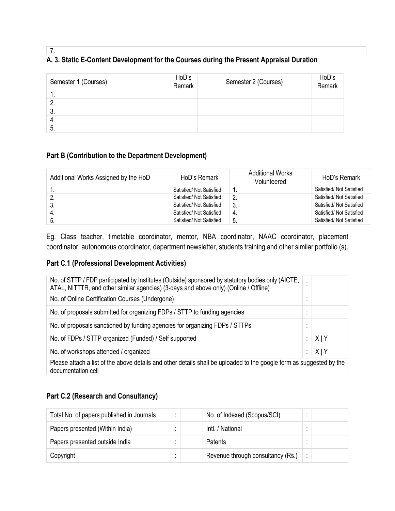### 7. **A. 3. Static E-Content Development for the Courses during the Present Appraisal Duration**

| Semester 1 (Courses) | HoD's<br>Remark | Semester 2 (Courses) | HoD's<br>Remark |
|----------------------|-----------------|----------------------|-----------------|
| . .                  |                 |                      |                 |
|                      |                 |                      |                 |
| υ.                   |                 |                      |                 |
| -4.                  |                 |                      |                 |
| 5.                   |                 |                      |                 |

## **Part B (Contribution to the Department Development)**

| Additional Works Assigned by the HoD | HoD's Remark             | <b>Additional Works</b><br>Volunteered | HoD's Remark             |
|--------------------------------------|--------------------------|----------------------------------------|--------------------------|
|                                      | Satisfied/ Not Satisfied |                                        | Satisfied/ Not Satisfied |
|                                      | Satisfied/ Not Satisfied | າ                                      | Satisfied/ Not Satisfied |
| ູບ.                                  | Satisfied/ Not Satisfied | -3.                                    | Satisfied/ Not Satisfied |
|                                      | Satisfied/ Not Satisfied | 4.                                     | Satisfied/ Not Satisfied |
| ົວ.                                  | Satisfied/ Not Satisfied | 5.                                     | Satisfied/ Not Satisfied |

Eg. Class teacher, timetable coordinator, mentor, NBA coordinator, NAAC coordinator, placement coordinator, autonomous coordinator, department newsletter, students training and other similar portfolio (s).

## **Part C.1 (Professional Development Activities)**

| No. of STTP / FDP participated by Institutes (Outside) sponsored by statutory bodies only (AICTE,<br>ATAL, NITTTR, and other similar agencies) (3-days and above only) (Online / Offline) | $\blacksquare$ |     |
|-------------------------------------------------------------------------------------------------------------------------------------------------------------------------------------------|----------------|-----|
| No. of Online Certification Courses (Undergone)                                                                                                                                           | $\bullet$      |     |
| No. of proposals submitted for organizing FDPs / STTP to funding agencies                                                                                                                 | $\bullet$      |     |
| No. of proposals sanctioned by funding agencies for organizing FDPs / STTPs                                                                                                               | $\bullet$<br>٠ |     |
| No. of FDPs / STTP organized (Funded) / Self supported                                                                                                                                    |                | X Y |
| No. of workshops attended / organized                                                                                                                                                     |                | X Y |
| Please attach a list of the above details and other details shall be uploaded to the google form as suggested by the<br>documentation cell                                                |                |     |

### **Part C.2 (Research and Consultancy)**

| Total No. of papers published in Journals |  | No. of Indexed (Scopus/SCI)       |  |
|-------------------------------------------|--|-----------------------------------|--|
| Papers presented (Within India)           |  | Intl. / National                  |  |
| Papers presented outside India            |  | <b>Patents</b>                    |  |
| Copyright                                 |  | Revenue through consultancy (Rs.) |  |